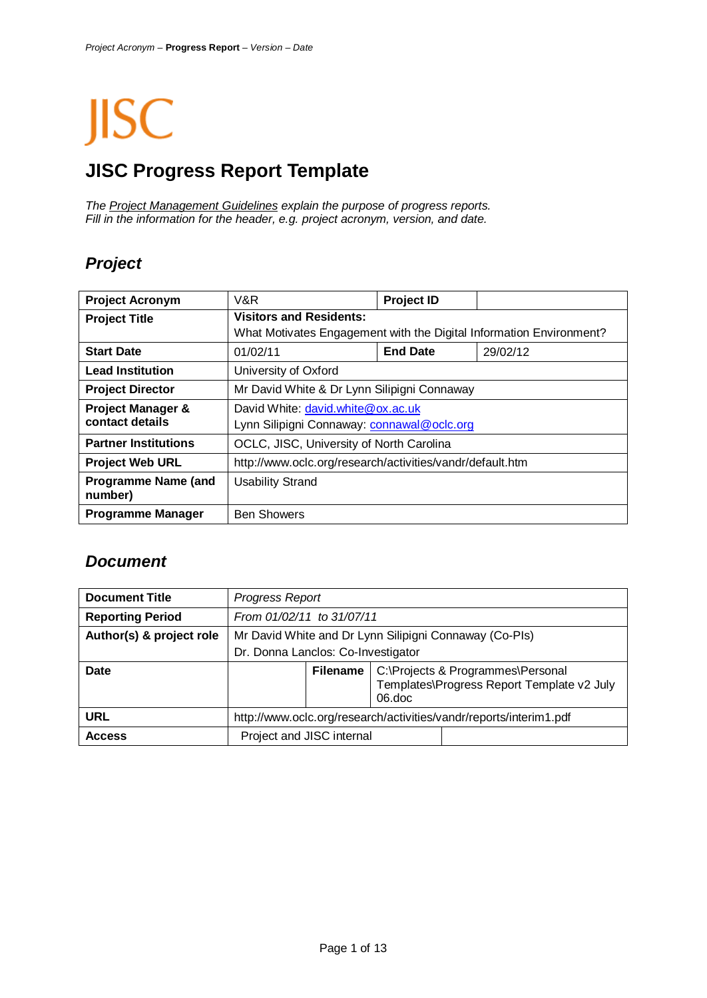# **JISC**

## **JISC Progress Report Template**

*The Project Management Guidelines explain the purpose of progress reports. Fill in the information for the header, e.g. project acronym, version, and date.*

## *Project*

| <b>Project Acronym</b>       | V&R                                                                 | <b>Project ID</b> |          |  |
|------------------------------|---------------------------------------------------------------------|-------------------|----------|--|
| <b>Project Title</b>         | <b>Visitors and Residents:</b>                                      |                   |          |  |
|                              | What Motivates Engagement with the Digital Information Environment? |                   |          |  |
| <b>Start Date</b>            | 01/02/11                                                            | <b>End Date</b>   | 29/02/12 |  |
| <b>Lead Institution</b>      | University of Oxford                                                |                   |          |  |
| <b>Project Director</b>      | Mr David White & Dr Lynn Silipigni Connaway                         |                   |          |  |
| <b>Project Manager &amp;</b> | David White: david.white@ox.ac.uk                                   |                   |          |  |
| contact details              | Lynn Silipigni Connaway: connawal@oclc.org                          |                   |          |  |
| <b>Partner Institutions</b>  | OCLC, JISC, University of North Carolina                            |                   |          |  |
| <b>Project Web URL</b>       | http://www.oclc.org/research/activities/vandr/default.htm           |                   |          |  |
| <b>Programme Name (and</b>   | <b>Usability Strand</b>                                             |                   |          |  |
| number)                      |                                                                     |                   |          |  |
| <b>Programme Manager</b>     | <b>Ben Showers</b>                                                  |                   |          |  |

## *Document*

| <b>Document Title</b>    | <b>Progress Report</b>                                             |                 |           |                                                                                 |
|--------------------------|--------------------------------------------------------------------|-----------------|-----------|---------------------------------------------------------------------------------|
| <b>Reporting Period</b>  | From 01/02/11 to 31/07/11                                          |                 |           |                                                                                 |
| Author(s) & project role | Mr David White and Dr Lynn Silipigni Connaway (Co-PIs)             |                 |           |                                                                                 |
|                          | Dr. Donna Lanclos: Co-Investigator                                 |                 |           |                                                                                 |
| <b>Date</b>              |                                                                    | <b>Filename</b> | $06$ .doc | C:\Projects & Programmes\Personal<br>Templates\Progress Report Template v2 July |
| <b>URL</b>               | http://www.oclc.org/research/activities/vandr/reports/interim1.pdf |                 |           |                                                                                 |
| <b>Access</b>            | Project and JISC internal                                          |                 |           |                                                                                 |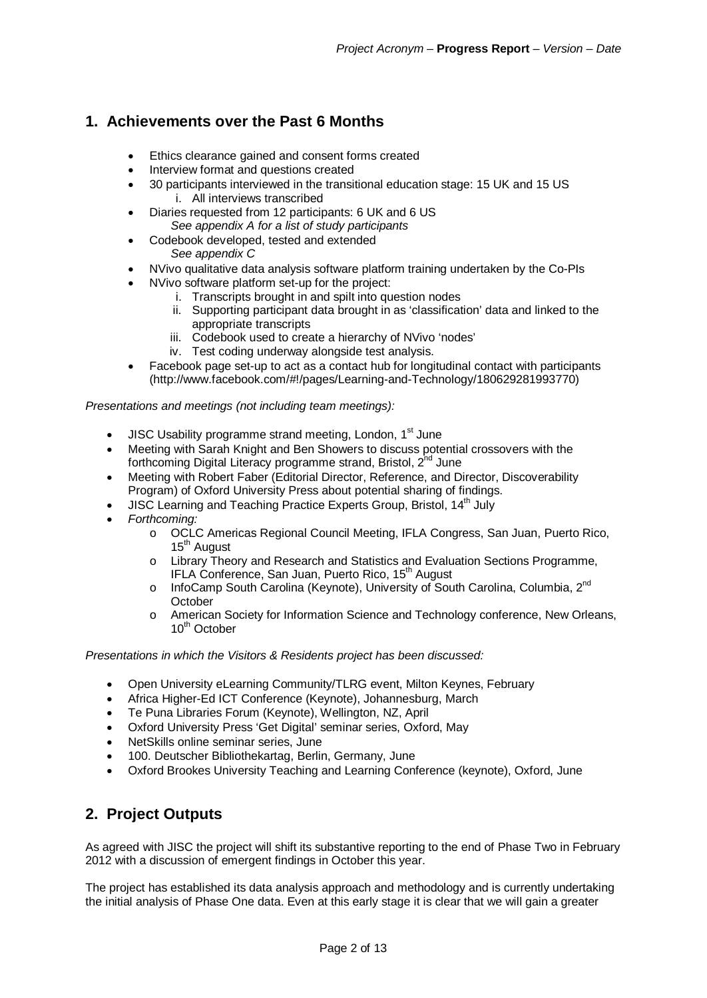## **1. Achievements over the Past 6 Months**

- Ethics clearance gained and consent forms created
- Interview format and questions created
- 30 participants interviewed in the transitional education stage: 15 UK and 15 US i. All interviews transcribed
- Diaries requested from 12 participants: 6 UK and 6 US *See appendix A for a list of study participants*
- Codebook developed, tested and extended *See appendix C*
- NVivo qualitative data analysis software platform training undertaken by the Co-PIs
- NVivo software platform set-up for the project:
	- i. Transcripts brought in and spilt into question nodes
	- ii. Supporting participant data brought in as 'classification' data and linked to the appropriate transcripts
	- iii. Codebook used to create a hierarchy of NVivo 'nodes'
	- iv. Test coding underway alongside test analysis.
- Facebook page set-up to act as a contact hub for longitudinal contact with participants (http://www.facebook.com/#!/pages/Learning-and-Technology/180629281993770)

#### *Presentations and meetings (not including team meetings):*

- JISC Usability programme strand meeting, London, 1<sup>st</sup> June
- Meeting with Sarah Knight and Ben Showers to discuss potential crossovers with the forthcoming Digital Literacy programme strand, Bristol, 2<sup>nd</sup> June
- Meeting with Robert Faber (Editorial Director, Reference, and Director, Discoverability Program) of Oxford University Press about potential sharing of findings.
- JISC Learning and Teaching Practice Experts Group, Bristol, 14th July
- *Forthcoming:*
	- o OCLC Americas Regional Council Meeting, IFLA Congress, San Juan, Puerto Rico, 15<sup>th</sup> August
	- o Library Theory and Research and Statistics and Evaluation Sections Programme, IFLA Conference, San Juan, Puerto Rico, 15<sup>th</sup> August
	- o InfoCamp South Carolina (Keynote), University of South Carolina, Columbia, 2<sup>nd</sup> **October**
	- o American Society for Information Science and Technology conference, New Orleans, 10<sup>th</sup> October

#### *Presentations in which the Visitors & Residents project has been discussed:*

- Open University eLearning Community/TLRG event, Milton Keynes, February
- Africa Higher-Ed ICT Conference (Keynote), Johannesburg, March
- Te Puna Libraries Forum (Keynote), Wellington, NZ, April
- Oxford University Press 'Get Digital' seminar series, Oxford, May
- NetSkills online seminar series, June
- 100. Deutscher Bibliothekartag, Berlin, Germany, June
- Oxford Brookes University Teaching and Learning Conference (keynote), Oxford, June

## **2. Project Outputs**

As agreed with JISC the project will shift its substantive reporting to the end of Phase Two in February 2012 with a discussion of emergent findings in October this year.

The project has established its data analysis approach and methodology and is currently undertaking the initial analysis of Phase One data. Even at this early stage it is clear that we will gain a greater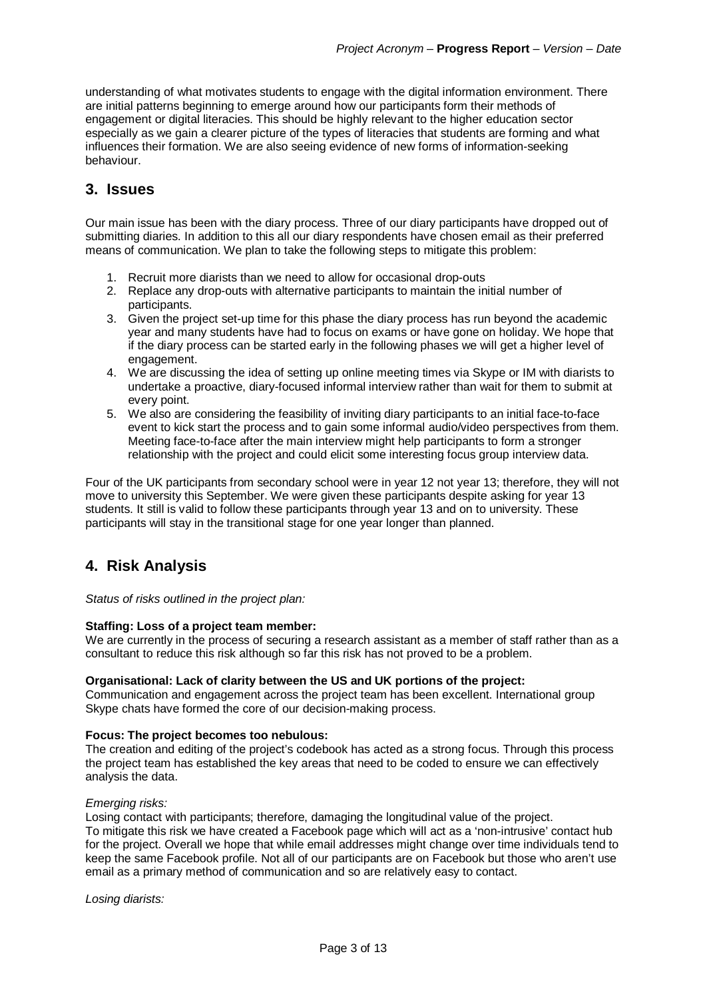understanding of what motivates students to engage with the digital information environment. There are initial patterns beginning to emerge around how our participants form their methods of engagement or digital literacies. This should be highly relevant to the higher education sector especially as we gain a clearer picture of the types of literacies that students are forming and what influences their formation. We are also seeing evidence of new forms of information-seeking behaviour.

### **3. Issues**

Our main issue has been with the diary process. Three of our diary participants have dropped out of submitting diaries. In addition to this all our diary respondents have chosen email as their preferred means of communication. We plan to take the following steps to mitigate this problem:

- 1. Recruit more diarists than we need to allow for occasional drop-outs
- 2. Replace any drop-outs with alternative participants to maintain the initial number of participants.
- 3. Given the project set-up time for this phase the diary process has run beyond the academic year and many students have had to focus on exams or have gone on holiday. We hope that if the diary process can be started early in the following phases we will get a higher level of engagement.
- 4. We are discussing the idea of setting up online meeting times via Skype or IM with diarists to undertake a proactive, diary-focused informal interview rather than wait for them to submit at every point.
- 5. We also are considering the feasibility of inviting diary participants to an initial face-to-face event to kick start the process and to gain some informal audio/video perspectives from them. Meeting face-to-face after the main interview might help participants to form a stronger relationship with the project and could elicit some interesting focus group interview data.

Four of the UK participants from secondary school were in year 12 not year 13; therefore, they will not move to university this September. We were given these participants despite asking for year 13 students. It still is valid to follow these participants through year 13 and on to university. These participants will stay in the transitional stage for one year longer than planned.

## **4. Risk Analysis**

*Status of risks outlined in the project plan:*

#### **Staffing: Loss of a project team member:**

We are currently in the process of securing a research assistant as a member of staff rather than as a consultant to reduce this risk although so far this risk has not proved to be a problem.

#### **Organisational: Lack of clarity between the US and UK portions of the project:**

Communication and engagement across the project team has been excellent. International group Skype chats have formed the core of our decision-making process.

#### **Focus: The project becomes too nebulous:**

The creation and editing of the project's codebook has acted as a strong focus. Through this process the project team has established the key areas that need to be coded to ensure we can effectively analysis the data.

#### *Emerging risks:*

Losing contact with participants; therefore, damaging the longitudinal value of the project. To mitigate this risk we have created a Facebook page which will act as a 'non-intrusive' contact hub for the project. Overall we hope that while email addresses might change over time individuals tend to keep the same Facebook profile. Not all of our participants are on Facebook but those who aren't use email as a primary method of communication and so are relatively easy to contact.

*Losing diarists:*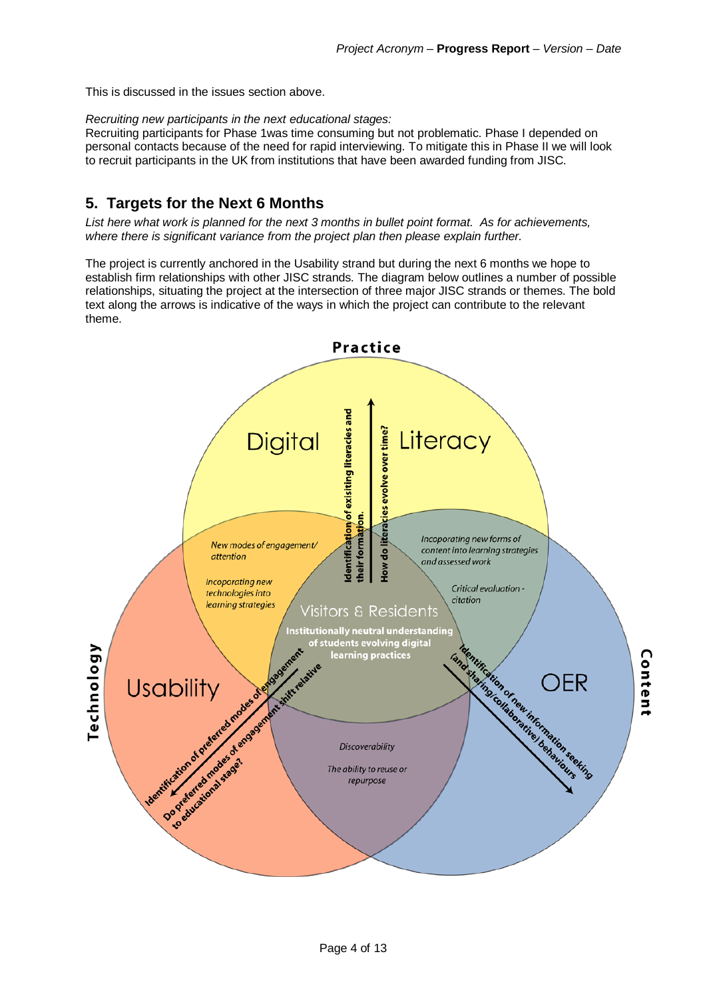This is discussed in the issues section above.

#### *Recruiting new participants in the next educational stages:*

Recruiting participants for Phase 1was time consuming but not problematic. Phase I depended on personal contacts because of the need for rapid interviewing. To mitigate this in Phase II we will look to recruit participants in the UK from institutions that have been awarded funding from JISC.

## **5. Targets for the Next 6 Months**

*List here what work is planned for the next 3 months in bullet point format. As for achievements, where there is significant variance from the project plan then please explain further.*

The project is currently anchored in the Usability strand but during the next 6 months we hope to establish firm relationships with other JISC strands. The diagram below outlines a number of possible relationships, situating the project at the intersection of three major JISC strands or themes. The bold text along the arrows is indicative of the ways in which the project can contribute to the relevant theme.

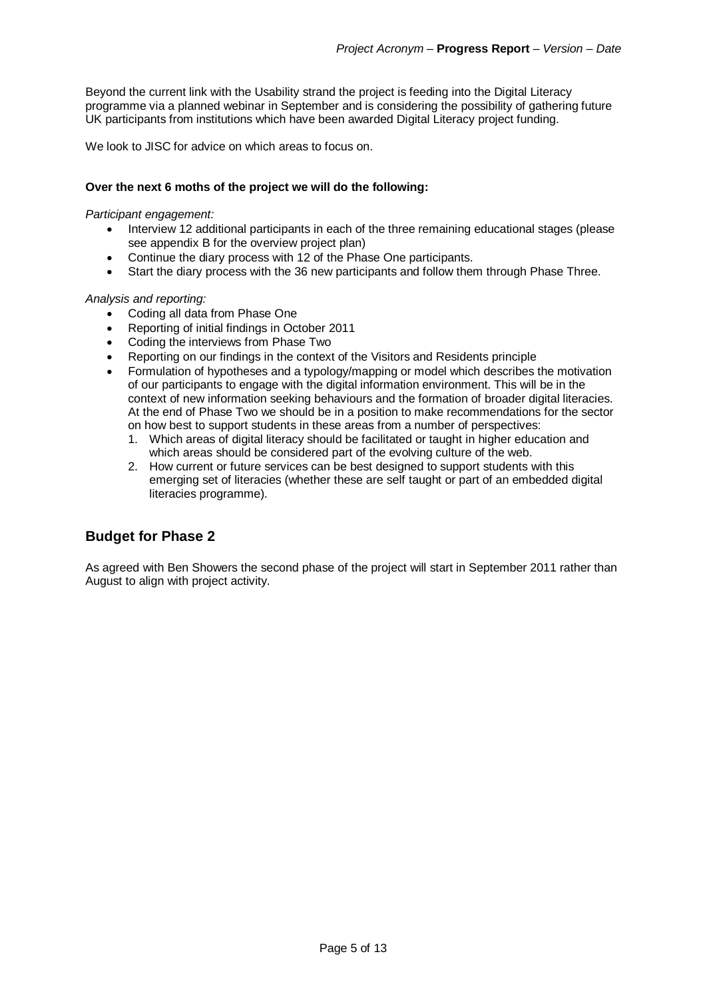Beyond the current link with the Usability strand the project is feeding into the Digital Literacy programme via a planned webinar in September and is considering the possibility of gathering future UK participants from institutions which have been awarded Digital Literacy project funding.

We look to JISC for advice on which areas to focus on.

#### **Over the next 6 moths of the project we will do the following:**

#### *Participant engagement:*

- Interview 12 additional participants in each of the three remaining educational stages (please see appendix B for the overview project plan)
- Continue the diary process with 12 of the Phase One participants.
- Start the diary process with the 36 new participants and follow them through Phase Three.

#### *Analysis and reporting:*

- Coding all data from Phase One
- Reporting of initial findings in October 2011
- Coding the interviews from Phase Two
- Reporting on our findings in the context of the Visitors and Residents principle
- Formulation of hypotheses and a typology/mapping or model which describes the motivation of our participants to engage with the digital information environment. This will be in the context of new information seeking behaviours and the formation of broader digital literacies. At the end of Phase Two we should be in a position to make recommendations for the sector on how best to support students in these areas from a number of perspectives:
	- 1. Which areas of digital literacy should be facilitated or taught in higher education and which areas should be considered part of the evolving culture of the web.
	- 2. How current or future services can be best designed to support students with this emerging set of literacies (whether these are self taught or part of an embedded digital literacies programme).

#### **Budget for Phase 2**

As agreed with Ben Showers the second phase of the project will start in September 2011 rather than August to align with project activity.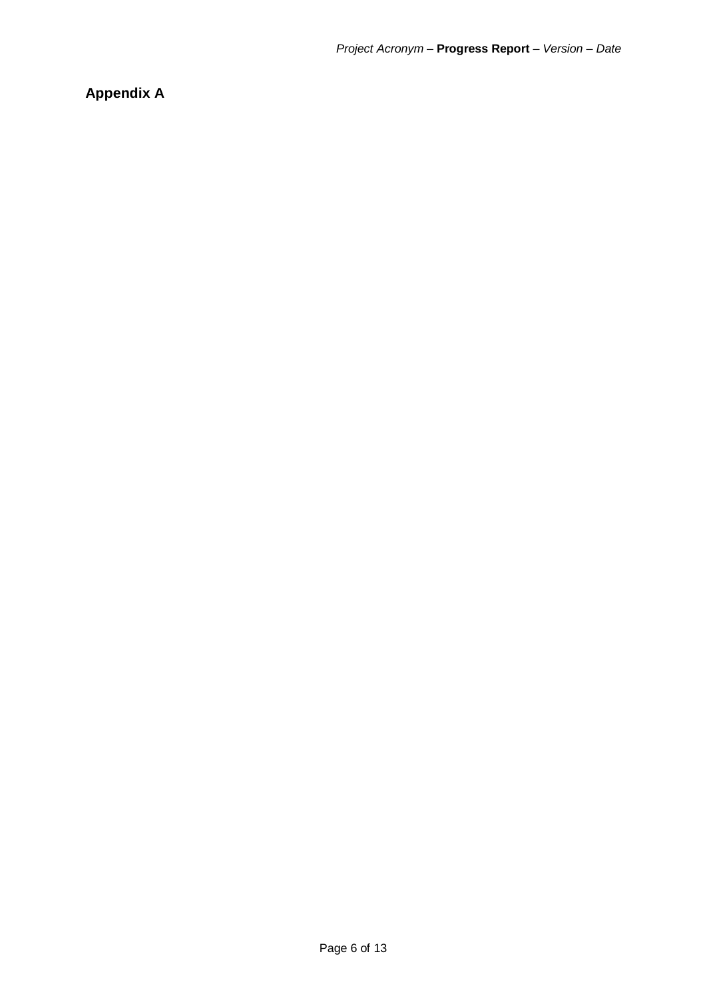**Appendix A**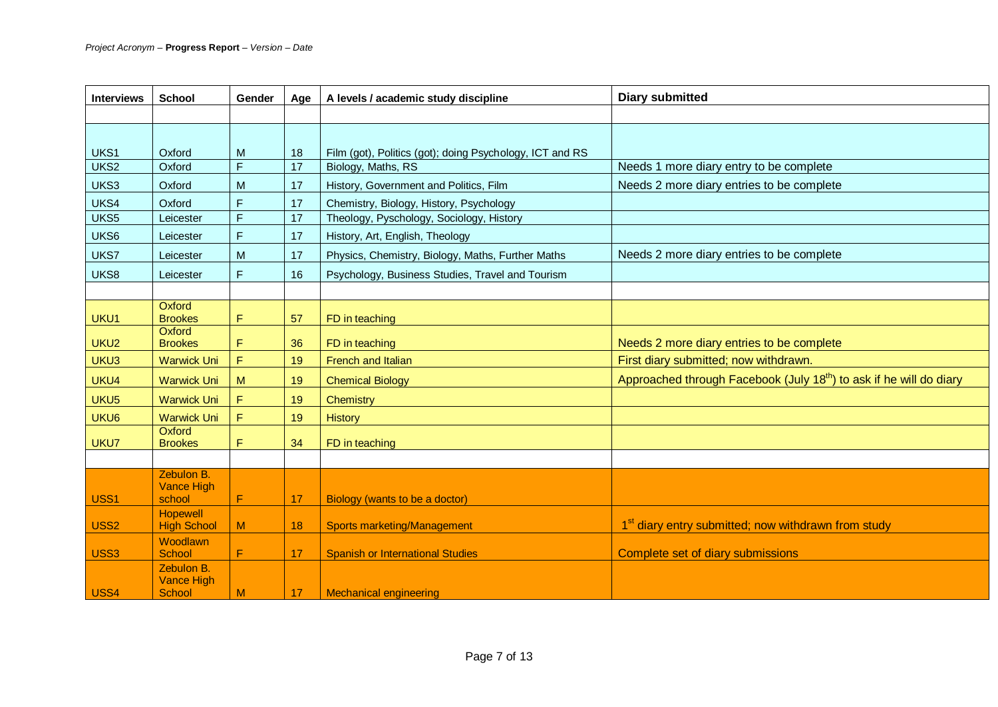| <b>Interviews</b> | <b>School</b>                   | <b>Gender</b> | Age | A levels / academic study discipline                     | <b>Diary submitted</b>                                                          |
|-------------------|---------------------------------|---------------|-----|----------------------------------------------------------|---------------------------------------------------------------------------------|
|                   |                                 |               |     |                                                          |                                                                                 |
|                   |                                 |               |     |                                                          |                                                                                 |
| UKS1              | Oxford                          | M             | 18  | Film (got), Politics (got); doing Psychology, ICT and RS |                                                                                 |
| UKS2              | Oxford                          | F.            | 17  | Biology, Maths, RS                                       | Needs 1 more diary entry to be complete                                         |
| UKS3              | Oxford                          | M             | 17  | History, Government and Politics, Film                   | Needs 2 more diary entries to be complete                                       |
| UKS4              | Oxford                          | F             | 17  | Chemistry, Biology, History, Psychology                  |                                                                                 |
| UKS5              | Leicester                       | F             | 17  | Theology, Pyschology, Sociology, History                 |                                                                                 |
| UKS6              | Leicester                       | F             | 17  | History, Art, English, Theology                          |                                                                                 |
| UKS7              | Leicester                       | M             | 17  | Physics, Chemistry, Biology, Maths, Further Maths        | Needs 2 more diary entries to be complete                                       |
| UKS8              | Leicester                       | F.            | 16  | Psychology, Business Studies, Travel and Tourism         |                                                                                 |
|                   |                                 |               |     |                                                          |                                                                                 |
| UKU1              | Oxford<br><b>Brookes</b>        | F.            | 57  | FD in teaching                                           |                                                                                 |
| UKU <sub>2</sub>  | Oxford<br><b>Brookes</b>        | F             | 36  | FD in teaching                                           | Needs 2 more diary entries to be complete                                       |
| UKU3              | <b>Warwick Uni</b>              | F             | 19  | <b>French and Italian</b>                                | First diary submitted; now withdrawn.                                           |
| UKU4              | <b>Warwick Uni</b>              | M             | 19  | <b>Chemical Biology</b>                                  | Approached through Facebook (July 18 <sup>th</sup> ) to ask if he will do diary |
| UKU <sub>5</sub>  | <b>Warwick Uni</b>              | F             | 19  | Chemistry                                                |                                                                                 |
| UKU6              | <b>Warwick Uni</b>              | F.            | 19  | <b>History</b>                                           |                                                                                 |
| UKU7              | Oxford<br><b>Brookes</b>        | F             | 34  | FD in teaching                                           |                                                                                 |
|                   |                                 |               |     |                                                          |                                                                                 |
|                   | Zebulon B.                      |               |     |                                                          |                                                                                 |
| USS <sub>1</sub>  | <b>Vance High</b><br>school     | F             | 17  | Biology (wants to be a doctor)                           |                                                                                 |
|                   | <b>Hopewell</b>                 |               |     |                                                          |                                                                                 |
| USS <sub>2</sub>  | <b>High School</b>              | M             | 18  | <b>Sports marketing/Management</b>                       | 1 <sup>st</sup> diary entry submitted; now withdrawn from study                 |
| <b>USS3</b>       | Woodlawn<br><b>School</b>       | F             | 17  | <b>Spanish or International Studies</b>                  | Complete set of diary submissions                                               |
|                   | Zebulon B.<br><b>Vance High</b> |               |     |                                                          |                                                                                 |
| USS4              | School                          | M             | 17  | <b>Mechanical engineering</b>                            |                                                                                 |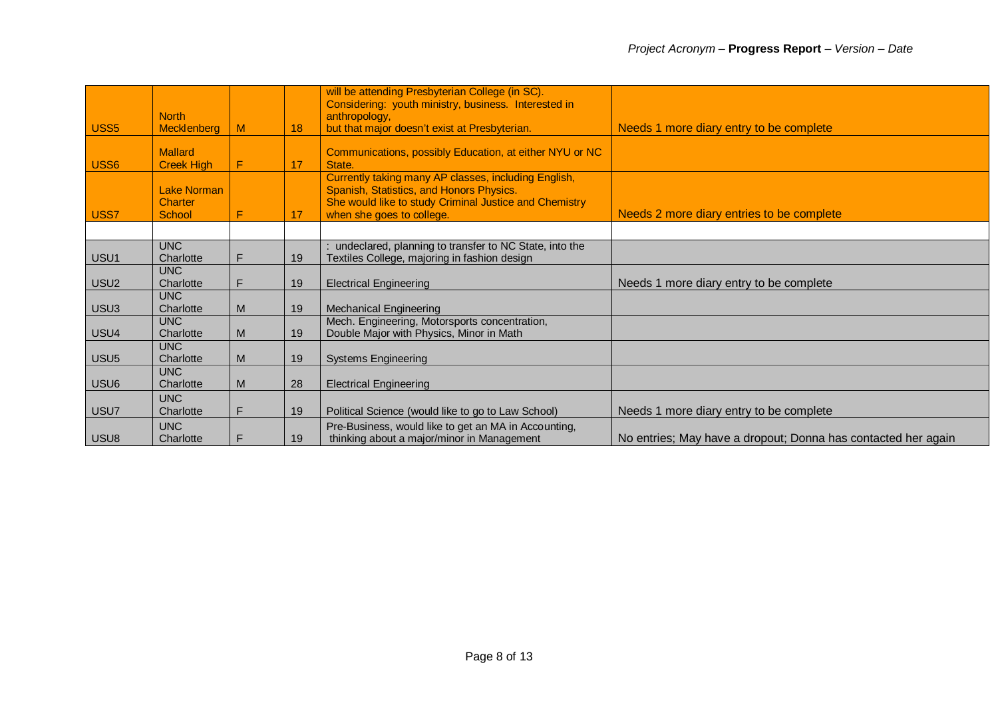|                  |                               |   |    | will be attending Presbyterian College (in SC).<br>Considering: youth ministry, business. Interested in                                                    |                                                               |
|------------------|-------------------------------|---|----|------------------------------------------------------------------------------------------------------------------------------------------------------------|---------------------------------------------------------------|
|                  | <b>North</b>                  |   |    | anthropology,                                                                                                                                              |                                                               |
| USS <sub>5</sub> | <b>Mecklenberg</b>            | M | 18 | but that major doesn't exist at Presbyterian.                                                                                                              | Needs 1 more diary entry to be complete                       |
|                  |                               |   |    |                                                                                                                                                            |                                                               |
|                  | <b>Mallard</b>                |   |    | Communications, possibly Education, at either NYU or NC                                                                                                    |                                                               |
| USS <sub>6</sub> | <b>Creek High</b>             | F | 17 | State.                                                                                                                                                     |                                                               |
|                  | Lake Norman<br><b>Charter</b> |   |    | Currently taking many AP classes, including English,<br>Spanish, Statistics, and Honors Physics.<br>She would like to study Criminal Justice and Chemistry |                                                               |
| USS7             | <b>School</b>                 | F | 17 | when she goes to college.                                                                                                                                  | Needs 2 more diary entries to be complete                     |
|                  |                               |   |    |                                                                                                                                                            |                                                               |
|                  | <b>UNC</b>                    |   |    | : undeclared, planning to transfer to NC State, into the                                                                                                   |                                                               |
| USU1             | Charlotte                     | F | 19 | Textiles College, majoring in fashion design                                                                                                               |                                                               |
|                  | <b>UNC</b>                    |   |    |                                                                                                                                                            |                                                               |
| USU <sub>2</sub> | Charlotte                     | F | 19 | <b>Electrical Engineering</b>                                                                                                                              | Needs 1 more diary entry to be complete                       |
|                  | <b>UNC</b>                    |   |    |                                                                                                                                                            |                                                               |
| USU3             | Charlotte                     | M | 19 | <b>Mechanical Engineering</b>                                                                                                                              |                                                               |
|                  | <b>UNC</b>                    |   |    | Mech. Engineering, Motorsports concentration,                                                                                                              |                                                               |
| USU4             | Charlotte                     | M | 19 | Double Major with Physics, Minor in Math                                                                                                                   |                                                               |
|                  | <b>UNC</b>                    |   |    |                                                                                                                                                            |                                                               |
| USU <sub>5</sub> | Charlotte                     | M | 19 | <b>Systems Engineering</b>                                                                                                                                 |                                                               |
|                  | <b>UNC</b>                    |   |    |                                                                                                                                                            |                                                               |
| USU <sub>6</sub> | Charlotte                     | M | 28 | <b>Electrical Engineering</b>                                                                                                                              |                                                               |
|                  | <b>UNC</b>                    |   |    |                                                                                                                                                            |                                                               |
| USU7             | Charlotte                     | F | 19 | Political Science (would like to go to Law School)                                                                                                         | Needs 1 more diary entry to be complete                       |
|                  | <b>UNC</b>                    |   |    | Pre-Business, would like to get an MA in Accounting,                                                                                                       |                                                               |
| USU8             | Charlotte                     | F | 19 | thinking about a major/minor in Management                                                                                                                 | No entries; May have a dropout; Donna has contacted her again |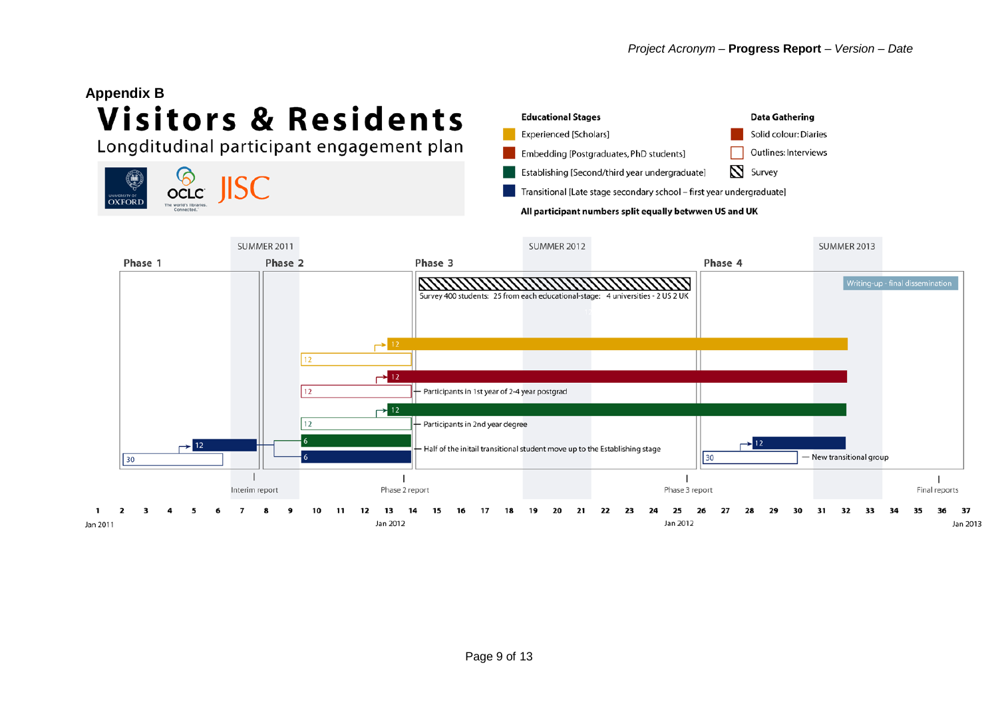## Appendix B<br>**Visitors & Residents**

Longditudinal participant engagement plan





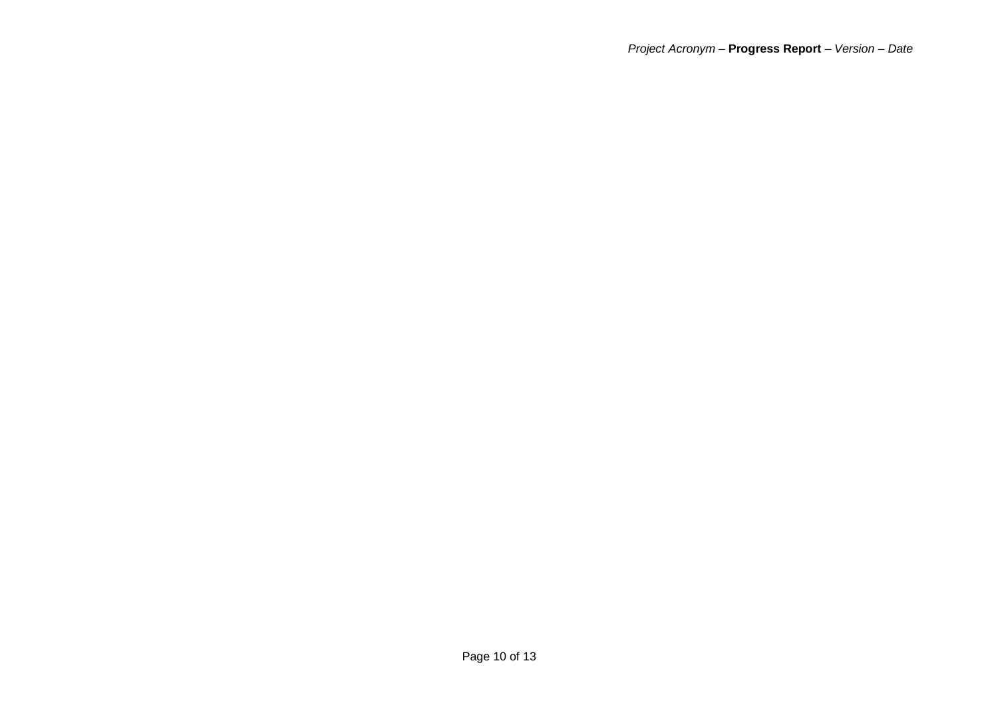*Project Acronym* – **Progress Report** – *Version* – *Date*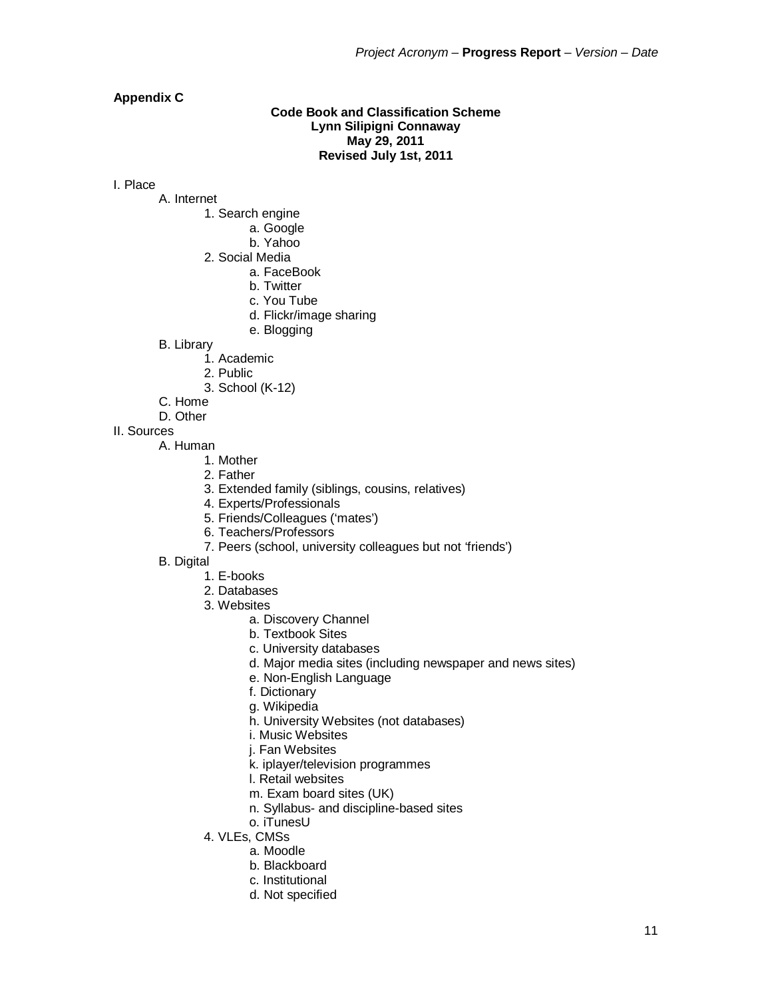#### **Appendix C**

#### **Code Book and Classification Scheme Lynn Silipigni Connaway May 29, 2011 Revised July 1st, 2011**

#### I. Place

A. Internet

- 1. Search engine
	- a. Google
	- b. Yahoo
- 2. Social Media
	- a. FaceBook
	- b. Twitter
	- c. You Tube
	- d. Flickr/image sharing
	- e. Blogging
- B. Library
	- 1. Academic
	- 2. Public
	- 3. School (K-12)
- C. Home
- D. Other

#### II. Sources

- A. Human
	- 1. Mother
	- 2. Father
	- 3. Extended family (siblings, cousins, relatives)
	- 4. Experts/Professionals
	- 5. Friends/Colleagues ('mates')
	- 6. Teachers/Professors
	- 7. Peers (school, university colleagues but not 'friends')
- B. Digital
	- 1. E-books
	- 2. Databases
	- 3. Websites
		- a. Discovery Channel
			- b. Textbook Sites
			- c. University databases
			- d. Major media sites (including newspaper and news sites)
			- e. Non-English Language
			- f. Dictionary
			- g. Wikipedia
			- h. University Websites (not databases)
			- i. Music Websites
			- j. Fan Websites
			- k. iplayer/television programmes
			- l. Retail websites
			- m. Exam board sites (UK)
			- n. Syllabus- and discipline-based sites
			- o. iTunesU
	- 4. VLEs, CMSs
		- a. Moodle
		- b. Blackboard
		- c. Institutional
		- d. Not specified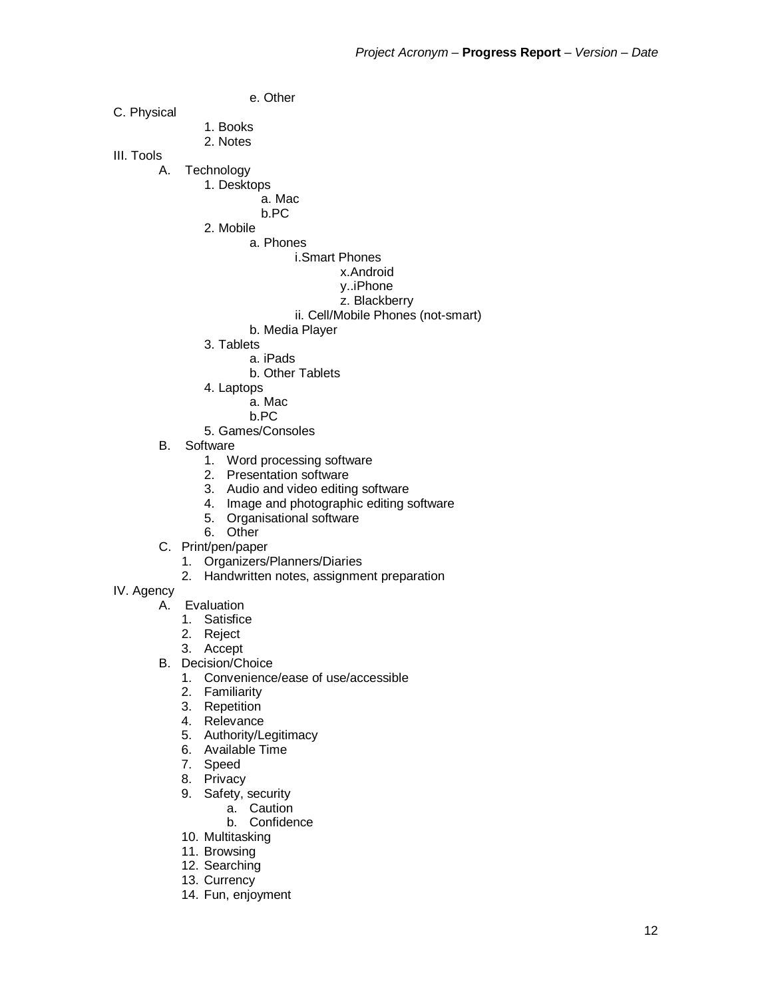- e. Other
- C. Physical 1. Books
	- 2. Notes
- III. Tools
	- A. Technology
		- 1. Desktops
			- a. Mac
			- b.PC
		- 2. Mobile
			- a. Phones
				- i.Smart Phones
					- x.Android
					- y..iPhone
						- z. Blackberry
				- ii. Cell/Mobile Phones (not-smart)
				- b. Media Player
		- 3. Tablets
			- a. iPads
			- b. Other Tablets
		- 4. Laptops
			- a. Mac
			- b.PC
		- 5. Games/Consoles
	- B. Software
		- 1. Word processing software
		- 2. Presentation software
		- 3. Audio and video editing software
		- 4. Image and photographic editing software
		- 5. Organisational software
		- 6. Other
	- C. Print/pen/paper
		- 1. Organizers/Planners/Diaries
		- 2. Handwritten notes, assignment preparation
- IV. Agency
	- A. Evaluation
		- 1. Satisfice
		- 2. Reject
		- 3. Accept
	- B. Decision/Choice
		- 1. Convenience/ease of use/accessible
		- 2. Familiarity
		- 3. Repetition
		- 4. Relevance
		- 5. Authority/Legitimacy
		- 6. Available Time
		- 7. Speed
		- 8. Privacy
		- 9. Safety, security
			- a. Caution
			- b. Confidence
		- 10. Multitasking
		- 11. Browsing
		- 12. Searching
		- 13. Currency
		- 14. Fun, enjoyment